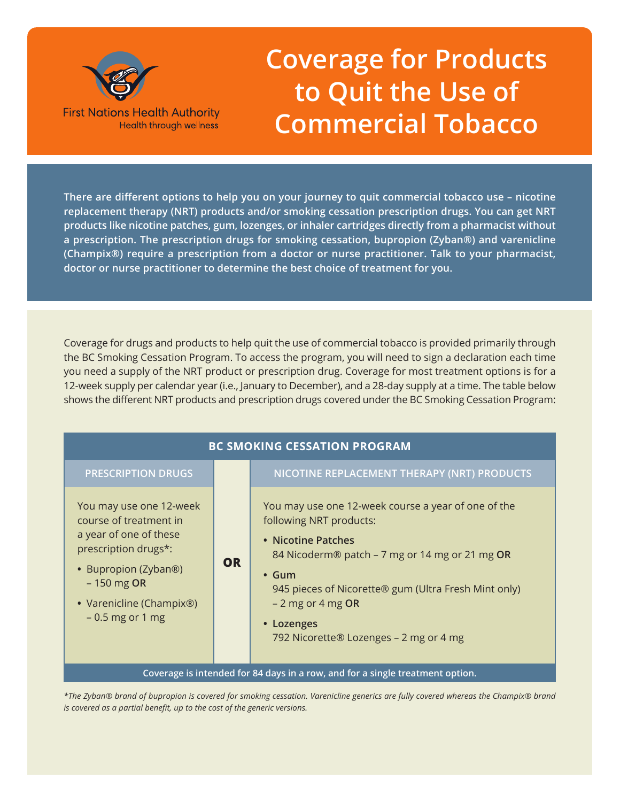

# **Coverage for Products to Quit the Use of Commercial Tobacco**

**There are different options to help you on your journey to quit commercial tobacco use – nicotine replacement therapy (NRT) products and/or smoking cessation prescription drugs. You can get NRT products like nicotine patches, gum, lozenges, or inhaler cartridges directly from a pharmacist without a prescription. The prescription drugs for smoking cessation, bupropion (Zyban®) and varenicline (Champix®) require a prescription from a doctor or nurse practitioner. Talk to your pharmacist, doctor or nurse practitioner to determine the best choice of treatment for you.**

Coverage for drugs and products to help quit the use of commercial tobacco is provided primarily through the BC Smoking Cessation Program. To access the program, you will need to sign a declaration each time you need a supply of the NRT product or prescription drug. Coverage for most treatment options is for a 12-week supply per calendar year (i.e., January to December), and a 28-day supply at a time. The table below shows the different NRT products and prescription drugs covered under the BC Smoking Cessation Program:

| <b>BC SMOKING CESSATION PROGRAM</b>                                                                                                                                                          |           |                                                                                                                                                                                                                                                                                                             |
|----------------------------------------------------------------------------------------------------------------------------------------------------------------------------------------------|-----------|-------------------------------------------------------------------------------------------------------------------------------------------------------------------------------------------------------------------------------------------------------------------------------------------------------------|
| <b>PRESCRIPTION DRUGS</b>                                                                                                                                                                    |           | NICOTINE REPLACEMENT THERAPY (NRT) PRODUCTS                                                                                                                                                                                                                                                                 |
| You may use one 12-week<br>course of treatment in<br>a year of one of these<br>prescription drugs*:<br>• Bupropion (Zyban®)<br>$-150$ mg OR<br>• Varenicline (Champix®)<br>$-0.5$ mg or 1 mg | <b>OR</b> | You may use one 12-week course a year of one of the<br>following NRT products:<br>• Nicotine Patches<br>84 Nicoderm® patch - 7 mg or 14 mg or 21 mg OR<br>$\cdot$ Gum<br>945 pieces of Nicorette® gum (Ultra Fresh Mint only)<br>$-2$ mg or 4 mg OR<br>• Lozenges<br>792 Nicorette® Lozenges - 2 mg or 4 mg |
| Coverage is intended for 84 days in a row, and for a single treatment option.                                                                                                                |           |                                                                                                                                                                                                                                                                                                             |

*\*The Zyban® brand of bupropion is covered for smoking cessation. Varenicline generics are fully covered whereas the Champix® brand is covered as a partial benefit, up to the cost of the generic versions.*